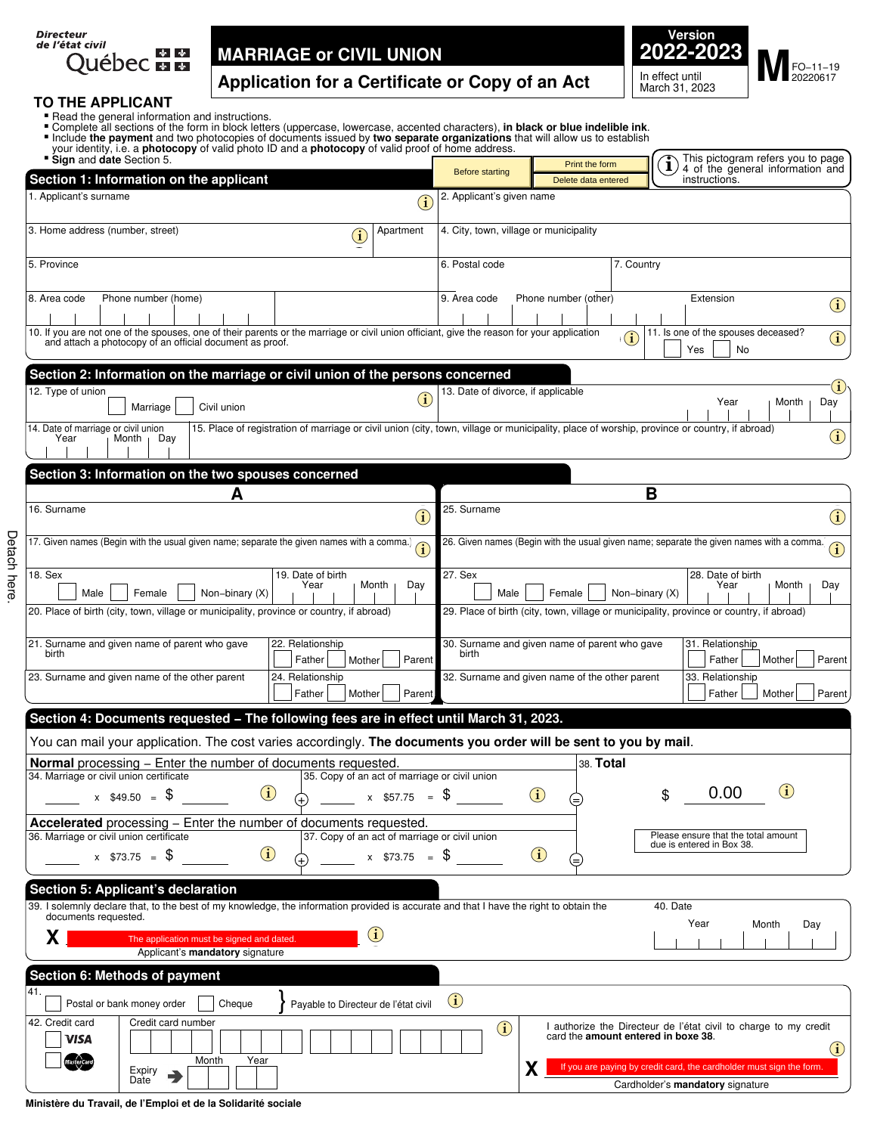| Directeur<br>de l'état civil |  |
|------------------------------|--|
|                              |  |
| <b>Ouébec mm</b>             |  |



# . . . **TO THE APPLICANT**

Detach here.

Detach here.

- 
- 
- 
- 

| your identity, i.e. a <b>photocopy</b> of valid photo ID and a <b>photocopy</b> of valid proof of home address.<br>Sign and date Section 5.                                                                 |                                     | <b>Before starting</b>      | Print the form                                 |                | This pictogram refers you to page<br>i<br>4 of the general information and                              |
|-------------------------------------------------------------------------------------------------------------------------------------------------------------------------------------------------------------|-------------------------------------|-----------------------------|------------------------------------------------|----------------|---------------------------------------------------------------------------------------------------------|
| Section 1: Information on the applicant                                                                                                                                                                     |                                     |                             | Delete data entered                            |                | instructions.                                                                                           |
| 1. Applicant's surname                                                                                                                                                                                      | $\left( \mathbf{\hat{i}}\right)$    | 2. Applicant's given name   |                                                |                |                                                                                                         |
| 3. Home address (number, street)<br>Apartment<br>$\left( \mathbf{\hat{i}}\right)$                                                                                                                           |                                     |                             | 4. City, town, village or municipality         |                |                                                                                                         |
| 5. Province                                                                                                                                                                                                 | 6. Postal code                      |                             |                                                | 7. Country     |                                                                                                         |
| 8. Area code<br>Phone number (home)                                                                                                                                                                         | 9. Area code                        |                             | Phone number (other)                           |                | Extension<br>$\bigcirc$                                                                                 |
| 10. If you are not one of the spouses, one of their parents or the marriage or civil union officiant, give the reason for your application<br>and attach a photocopy of an official document as proof.      |                                     |                             |                                                |                | 11. Is one of the spouses deceased?<br>$\bigcirc$<br>Yes<br><b>No</b>                                   |
| Section 2: Information on the marriage or civil union of the persons concerned                                                                                                                              |                                     |                             |                                                |                | $\bf (\hat{i})$                                                                                         |
| 12. Type of union<br>Civil union<br>Marriage                                                                                                                                                                | $\bf (i)$                           |                             | 13. Date of divorce, if applicable             |                | Year<br>Month<br>Day                                                                                    |
| 14. Date of marriage or civil union<br>15. Place of registration of marriage or civil union (city, town, village or municipality, place of worship, province or country, if abroad)<br>Year<br>Month<br>Day |                                     |                             |                                                |                | $\bf \hat{1}$                                                                                           |
| Section 3: Information on the two spouses concerned                                                                                                                                                         |                                     |                             |                                                |                |                                                                                                         |
| Α<br>16. Surname                                                                                                                                                                                            | 25. Surname<br>$\mathbf{\hat{i}}$   |                             |                                                | B              | $\bf(i)$                                                                                                |
| 17. Given names (Begin with the usual given name; separate the given names with a comma.)                                                                                                                   | $\textcircled{\textup{\textsf{1}}}$ |                             |                                                |                | 26. Given names (Begin with the usual given name; separate the given names with a comma.<br>$\bf (i)$   |
| 18. Sex<br>19. Date of birth                                                                                                                                                                                | 27. Sex                             |                             |                                                |                | 28. Date of birth                                                                                       |
| Month<br>Year<br>Day<br>Female<br>Non-binary (X)<br>Male                                                                                                                                                    |                                     | Male                        | Female                                         | Non-binary (X) | Month<br>Year<br>Day                                                                                    |
| 20. Place of birth (city, town, village or municipality, province or country, if abroad)                                                                                                                    |                                     |                             |                                                |                | 29. Place of birth (city, town, village or municipality, province or country, if abroad)                |
| 21. Surname and given name of parent who gave<br>22. Relationship<br>birth<br>Father<br>Mother                                                                                                              | birth<br>Parent                     |                             | 30. Surname and given name of parent who gave  |                | 31. Relationship<br>Mother<br>Father<br>Parent                                                          |
| 23. Surname and given name of the other parent<br>24. Relationship<br>Father<br>Mother                                                                                                                      | Parent                              |                             | 32. Surname and given name of the other parent |                | 33. Relationship<br>Parent<br>Father<br>Mother                                                          |
| Section 4: Documents requested - The following fees are in effect until March 31, 2023.                                                                                                                     |                                     |                             |                                                |                |                                                                                                         |
| You can mail your application. The cost varies accordingly. The documents you order will be sent to you by mail.                                                                                            |                                     |                             |                                                |                |                                                                                                         |
| Normal processing - Enter the number of documents requested.<br>34. Marriage or civil union certificate<br>35. Copy of an act of marriage or civil union                                                    |                                     |                             |                                                | 38. Total      |                                                                                                         |
| $\bf(i)$<br>$x$ \$49.50 = \$                                                                                                                                                                                | $x$ \$57.75 = \$                    |                             | $\bf(i)$<br>(=                                 |                | $\bf(i)$<br>0.00<br>\$                                                                                  |
| Accelerated processing - Enter the number of documents requested.<br>36. Marriage or civil union certificate<br>37. Copy of an act of marriage or civil union                                               |                                     |                             |                                                |                | Please ensure that the total amount                                                                     |
| $\bf(i)$<br>$x$ \$73.75 = $\frac{6}{3}$<br>$x$ \$73.75 = \$                                                                                                                                                 |                                     |                             | $\bigcirc$<br>⋐                                |                | due is entered in Box 38.                                                                               |
| <b>Section 5: Applicant's declaration</b>                                                                                                                                                                   |                                     |                             |                                                |                |                                                                                                         |
| 39. I solemnly declare that, to the best of my knowledge, the information provided is accurate and that I have the right to obtain the<br>documents requested.                                              |                                     |                             |                                                |                | 40. Date                                                                                                |
| $\bf(i)$<br>X<br>The application must be signed and dated.<br>Applicant's mandatory signature                                                                                                               |                                     |                             |                                                |                | Year<br>Month<br>Day                                                                                    |
| Section 6: Methods of payment                                                                                                                                                                               |                                     |                             |                                                |                |                                                                                                         |
| 41.<br>Postal or bank money order<br>Payable to Directeur de l'état civil<br>Cheque                                                                                                                         | $\bf(i)$                            |                             |                                                |                |                                                                                                         |
| 42. Credit card<br>Credit card number<br>VISA                                                                                                                                                               |                                     | $\left( \mathbf{i} \right)$ |                                                |                | I authorize the Directeur de l'état civil to charge to my credit<br>card the amount entered in boxe 38. |
| Year<br>Month<br>Expiry                                                                                                                                                                                     |                                     |                             | X                                              |                | $\bf(i)$<br>If you are paying by credit card, the cardholder must sign the form.                        |
| Date                                                                                                                                                                                                        |                                     |                             |                                                |                | Cardholder's mandatory signature                                                                        |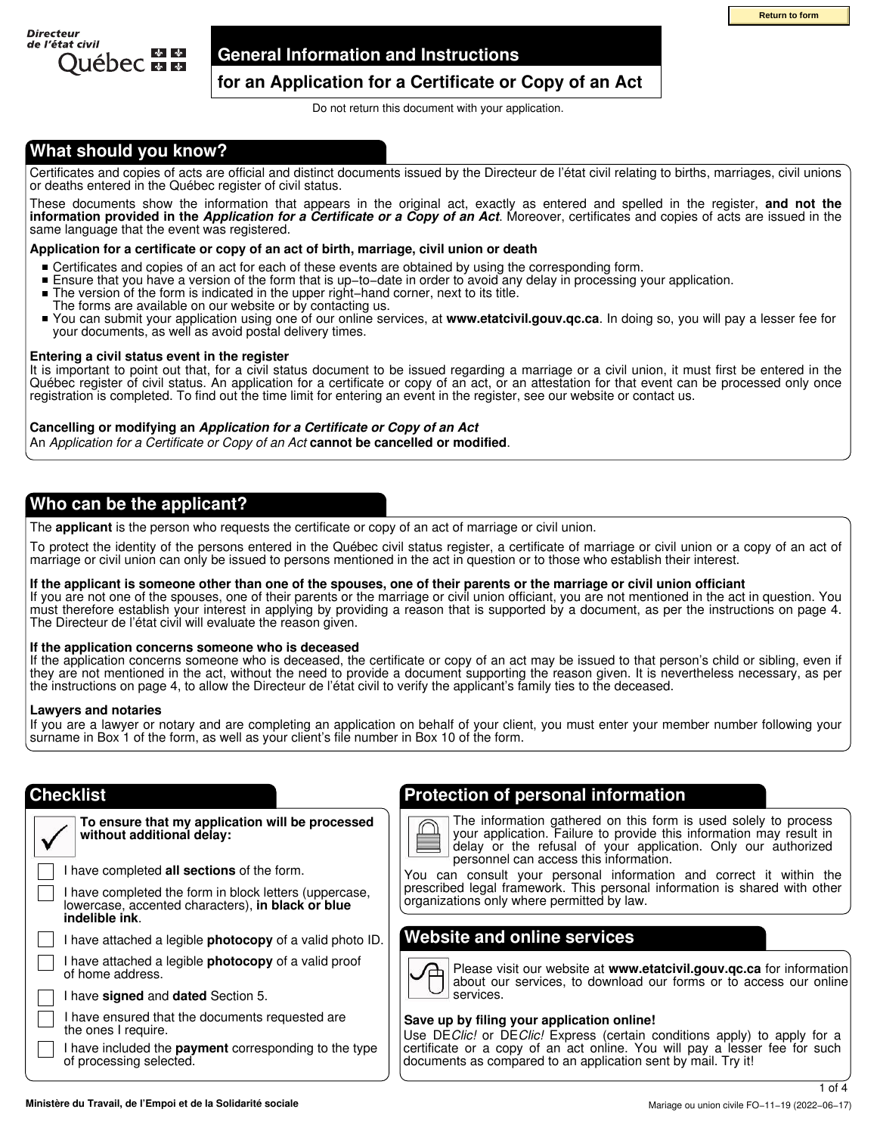

### **General Information and Instructions**

## **for an Application for a Certificate or Copy of an Act**

Do not return this document with your application.

# **What should you know?**

Certificates and copies of acts are official and distinct documents issued by the Directeur de l'état civil relating to births, marriages, civil unions or deaths entered in the Québec register of civil status.

These documents show the information that appears in the original act, exactly as entered and spelled in the register, **and not the information provided in the** *Application for a Certificate or a Copy of an Act*. Moreover, certificates and copies of acts are issued in the same language that the event was registered.

### **Application for a certificate or copy of an act of birth, marriage, civil union or death**

- Certificates and copies of an act for each of these events are obtained by using the corresponding form.
- Ensure that you have a version of the form that is up−to−date in order to avoid any delay in processing your application.
- The version of the form is indicated in the upper right−hand corner, next to its title.
- The forms are available on our website or by contacting us.
- You can submit your application using one of our online services, at **www.etatcivil.gouv.qc.ca**. In doing so, you will pay a lesser fee for your documents, as well as avoid postal delivery times.

### **Entering a civil status event in the register**

It is important to point out that, for a civil status document to be issued regarding a marriage or a civil union, it must first be entered in the Québec register of civil status. An application for a certificate or copy of an act, or an attestation for that event can be processed only once registration is completed. To find out the time limit for entering an event in the register, see our website or contact us.

### **Cancelling or modifying an** *Application for a Certificate or Copy of an Act*

An *Application for a Certificate or Copy of an Act* **cannot be cancelled or modified**.

### **Who can be the applicant?**

The **applicant** is the person who requests the certificate or copy of an act of marriage or civil union.

To protect the identity of the persons entered in the Québec civil status register, a certificate of marriage or civil union or a copy of an act of marriage or civil union can only be issued to persons mentioned in the act in question or to those who establish their interest.

### **If the applicant is someone other than one of the spouses, one of their parents or the marriage or civil union officiant**

If you are not one of the spouses, one of their parents or the marriage or civil union officiant, you are not mentioned in the act in question. You must therefore establish your interest in applying by providing a reason that is supported by a document, as per the instructions on page 4. The Directeur de l'état civil will evaluate the reason given.

### **If the application concerns someone who is deceased**

If the application concerns someone who is deceased, the certificate or copy of an act may be issued to that person's child or sibling, even if they are not mentioned in the act, without the need to provide a document supporting the reason given. It is nevertheless necessary, as per the instructions on page 4, to allow the Directeur de l'état civil to verify the applicant's family ties to the deceased.

### **Lawyers and notaries**

If you are a lawyer or notary and are completing an application on behalf of your client, you must enter your member number following your surname in Box 1 of the form, as well as your client's file number in Box 10 of the form.

٧

| To ensure that my application will be processed<br>without additional delay: |
|------------------------------------------------------------------------------|
| I have completed all sections of the form                                    |

I have completed **all sections** of the form.

I have completed the form in block letters (uppercase, lowercase, accented characters), **in black or blue indelible ink**.

I have attached a legible **photocopy** of a valid photo ID.

I have attached a legible **photocopy** of a valid proof of home address.

I have **signed** and **dated** Section 5.

I have ensured that the documents requested are the ones I require.

I have included the **payment** corresponding to the type of processing selected.

# **Checklist Protection of personal information**

The information gathered on this form is used solely to process your application. Failure to provide this information may result in delay or the refusal of your application. Only our authorized personnel can access this information. **Example Institute that**<br>
The Contribute of Copy of an Act<br>
This secure when the security parameterism<br>
This secure when the particular of Finite civilization to the finite particular the conjunities<br>
The conjunities of th

You can consult your personal information and correct it within the prescribed legal framework. This personal information is shared with other organizations only where permitted by law.

# **Website and online services**

Please visit our website at **www.etatcivil.gouv.qc.ca** for information about our services, to download our forms or to access our online services.

### **Save up by filing your application online!**

Use DE*Clic!* or DE*Clic!* Express (certain conditions apply) to apply for a certificate or a copy of an act online. You will pay a lesser fee for such documents as compared to an application sent by mail. Try it!

1 of 4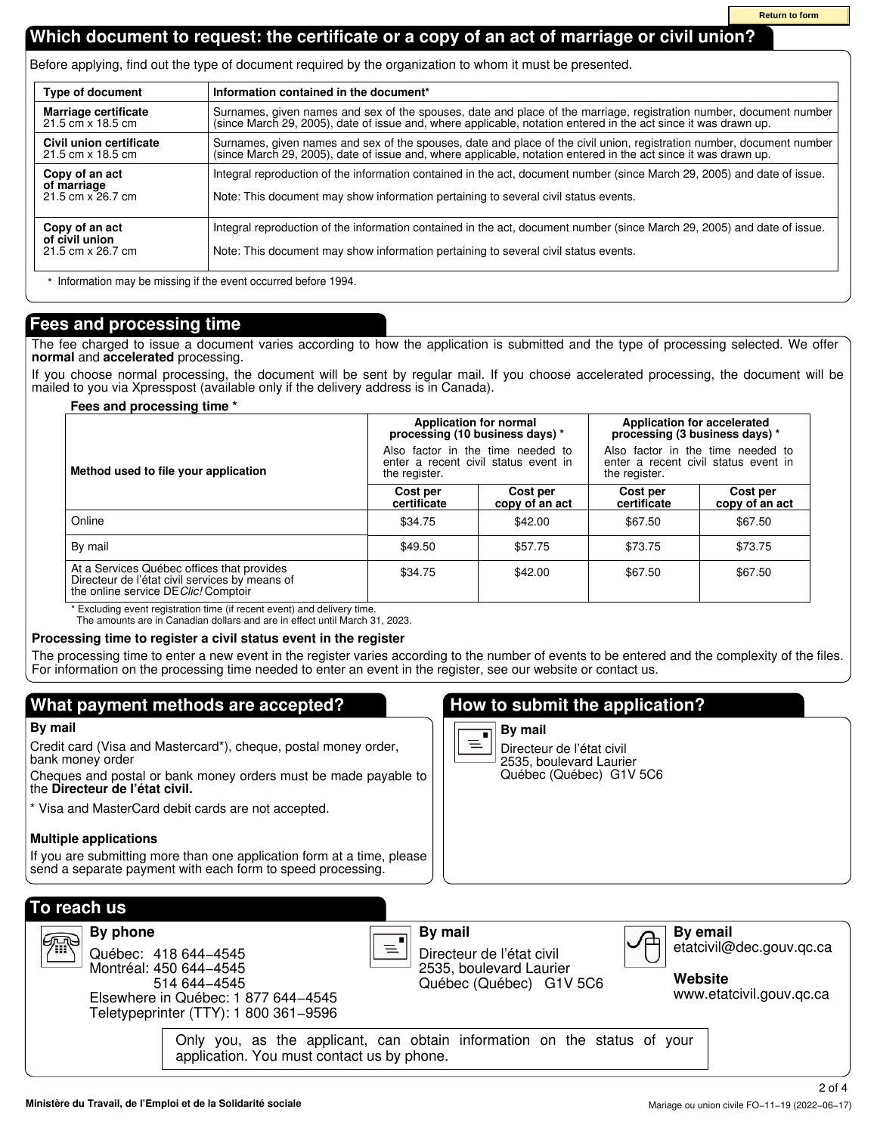# **Which document to request: the certificate or a copy of an act of marriage or civil union?**

Before applying, find out the type of document required by the organization to whom it must be presented.

| <b>Type of document</b>                                                                                                                                                                                                                                               | Information contained in the document*                                                                                                                                                                                                   |
|-----------------------------------------------------------------------------------------------------------------------------------------------------------------------------------------------------------------------------------------------------------------------|------------------------------------------------------------------------------------------------------------------------------------------------------------------------------------------------------------------------------------------|
| Marriage certificate<br>21.5 cm x 18.5 cm                                                                                                                                                                                                                             | Surnames, given names and sex of the spouses, date and place of the marriage, registration number, document number (since March 29, 2005), date of issue and, where applicable, notation entered in the act since it was drawn           |
| Civil union certificate<br>21.5 cm x 18.5 cm                                                                                                                                                                                                                          | Surnames, given names and sex of the spouses, date and place of the civil union, registration number, document number<br>(since March 29, 2005), date of issue and, where applicable, notation entered in the act since it was drawn up. |
| Integral reproduction of the information contained in the act, document number (since March 29, 2005) and date of issue.<br>Copy of an act<br>of marriage<br>21.5 cm x 26.7 cm<br>Note: This document may show information pertaining to several civil status events. |                                                                                                                                                                                                                                          |
| Copy of an act<br>of civil union<br>21.5 cm x 26.7 cm                                                                                                                                                                                                                 | Integral reproduction of the information contained in the act, document number (since March 29, 2005) and date of issue.<br>Note: This document may show information pertaining to several civil status events.                          |

\* Information may be missing if the event occurred before 1994.

# **Fees and processing time**

The fee charged to issue a document varies according to how the application is submitted and the type of processing selected. We offer **normal** and **accelerated** processing.

If you choose normal processing, the document will be sent by regular mail. If you choose accelerated processing, the document will be mailed to you via Xpresspost (available only if the delivery address is in Canada).

### **Fees and processing time \***

|                                                                                                                                      | <b>Application for normal</b><br>processing (10 business days) *<br>Also factor in the time needed to<br>enter a recent civil status event in<br>the register. |                            | <b>Application for accelerated</b><br>processing (3 business days) *                       |                            |  |
|--------------------------------------------------------------------------------------------------------------------------------------|----------------------------------------------------------------------------------------------------------------------------------------------------------------|----------------------------|--------------------------------------------------------------------------------------------|----------------------------|--|
| Method used to file your application                                                                                                 |                                                                                                                                                                |                            | Also factor in the time needed to<br>enter a recent civil status event in<br>the register. |                            |  |
|                                                                                                                                      | Cost per<br>certificate                                                                                                                                        | Cost per<br>copy of an act | Cost per<br>certificate                                                                    | Cost per<br>copy of an act |  |
| Online                                                                                                                               | \$34.75                                                                                                                                                        | \$42.00                    | \$67.50                                                                                    | \$67.50                    |  |
| By mail                                                                                                                              | \$49.50                                                                                                                                                        | \$57.75                    | \$73.75                                                                                    | \$73.75                    |  |
| At a Services Québec offices that provides<br>Directeur de l'état civil services by means of<br>the online service DE Clic! Comptoir | \$34.75                                                                                                                                                        | \$42.00                    | \$67.50                                                                                    | \$67.50                    |  |

\* Excluding event registration time (if recent event) and delivery time.

The amounts are in Canadian dollars and are in effect until March 31, 2023.

### **Processing time to register a civil status event in the register**

The processing time to enter a new event in the register varies according to the number of events to be entered and the complexity of the files. For information on the processing time needed to enter an event in the register, see our website or contact us.

# **What payment methods are accepted?**

### **By mail**

Credit card (Visa and Mastercard\*), cheque, postal money order, bank money order

Cheques and postal or bank money orders must be made payable to the **Directeur de l'état civil.**

\* Visa and MasterCard debit cards are not accepted.

### **Multiple applications**

If you are submitting more than one application form at a time, please send a separate payment with each form to speed processing.

# **How to submit the application?**



Directeur de l'état civil 2535, boulevard Laurier Québec (Québec) G1V 5C6

| To reach us                                                                                                                                                        |                                                                                                                        |                                                                                    |
|--------------------------------------------------------------------------------------------------------------------------------------------------------------------|------------------------------------------------------------------------------------------------------------------------|------------------------------------------------------------------------------------|
| By phone<br>心吃<br>Québec: 418 644-4545<br>Montréal: 450 644-4545<br>514 644 - 4545<br>Elsewhere in Québec: 1 877 644-4545<br>Teletypeprinter (TTY): 1 800 361-9596 | By mail<br>Directeur de l'état civil<br>2535, boulevard Laurier<br>Québec (Québec) G1V 5C6                             | <b>By email</b><br>etatcivil@dec.gouv.gc.ca<br>Website<br>www.etatcivil.gouv.gc.ca |
|                                                                                                                                                                    | Only you, as the applicant, can obtain information on the status of your<br>application. You must contact us by phone. |                                                                                    |

2 of 4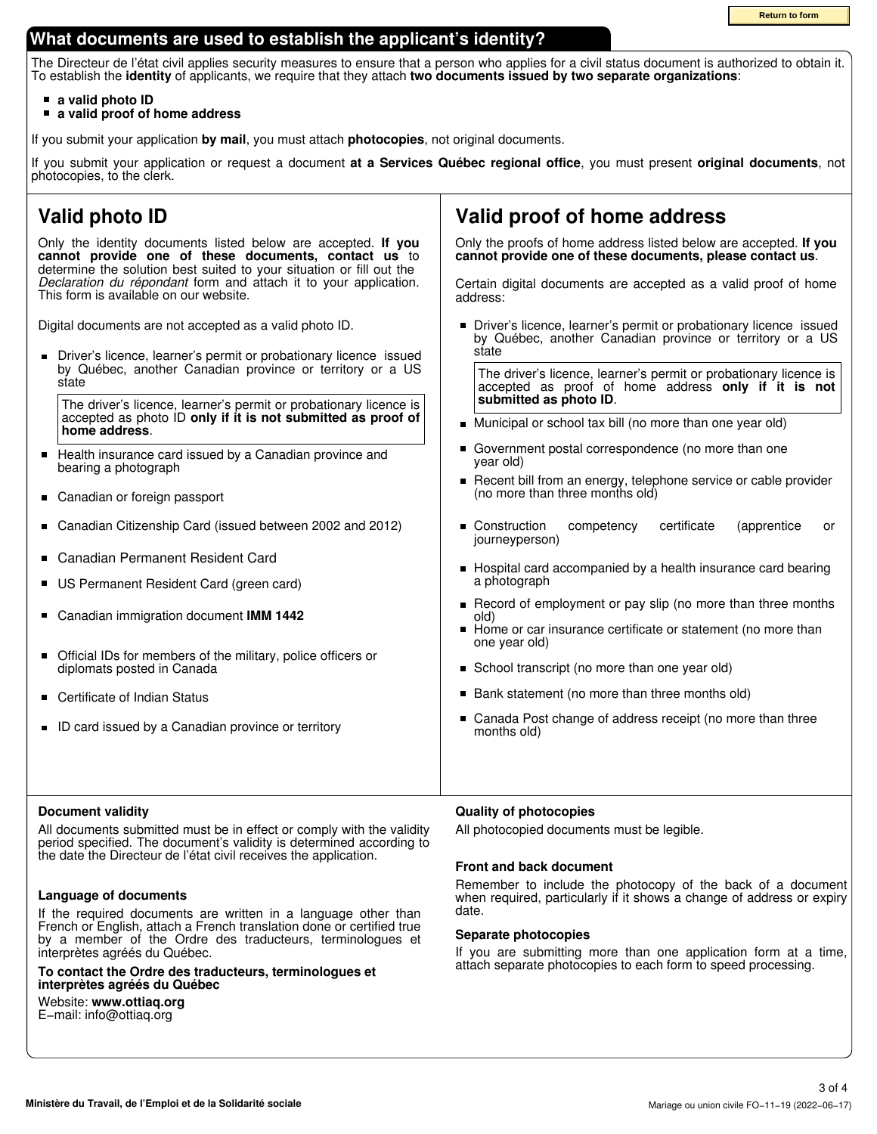# **What documents are used to establish the applicant's identity?**

The Directeur de l'état civil applies security measures to ensure that a person who applies for a civil status document is authorized to obtain it. To establish the **identity** of applicants, we require that they attach **two documents issued by two separate organizations**:

- **a valid photo ID**
- **a valid proof of home address**

If you submit your application **by mail**, you must attach **photocopies**, not original documents.

If you submit your application or request a document **at a Services Québec regional office**, you must present **original documents**, not photocopies, to the clerk.

# **Valid photo ID**

Only the identity documents listed below are accepted. **If you cannot provide one of these documents, contact us** to determine the solution best suited to your situation or fill out the *Declaration du répondant* form and attach it to your application. This form is available on our website.

Digital documents are not accepted as a valid photo ID.

Driver's licence, learner's permit or probationary licence issued  $\blacksquare$ by Québec, another Canadian province or territory or a US state

The driver's licence, learner's permit or probationary licence is accepted as photo ID **only if it is not submitted as proof of home address**.

- $\blacksquare$ Health insurance card issued by a Canadian province and bearing a photograph
- Canadian or foreign passport  $\blacksquare$
- $\blacksquare$ Canadian Citizenship Card (issued between 2002 and 2012)
- $\blacksquare$ Canadian Permanent Resident Card
- $\blacksquare$ US Permanent Resident Card (green card)
- Canadian immigration document **IMM 1442**  $\blacksquare$
- $\blacksquare$ Official IDs for members of the military, police officers or diplomats posted in Canada
- $\blacksquare$ Certificate of Indian Status
- ID card issued by a Canadian province or territory

### **Document validity**

All documents submitted must be in effect or comply with the validity period specified. The document's validity is determined according to the date the Directeur de l'état civil receives the application.

### **Language of documents**

If the required documents are written in a language other than French or English, attach a French translation done or certified true by a member of the Ordre des traducteurs, terminologues et interprètes agréés du Québec.

**To contact the Ordre des traducteurs, terminologues et interprètes agréés du Québec**

Website: **www.ottiaq.org** E−mail: info@ottiaq.org

# **Valid proof of home address**

Only the proofs of home address listed below are accepted. **If you cannot provide one of these documents, please contact us**.

Certain digital documents are accepted as a valid proof of home address:

**Driver's licence, learner's permit or probationary licence issued** by Québec, another Canadian province or territory or a US state

The driver's licence, learner's permit or probationary licence is accepted as proof of home address **only if it is not submitted as photo ID**.

- Municipal or school tax bill (no more than one year old)
- $\blacksquare$ Government postal correspondence (no more than one year old)
- Recent bill from an energy, telephone service or cable provider  $\blacksquare$ (no more than three months old)
- Construction competency certificate (apprentice or  $\blacksquare$ journeyperson)
- Hospital card accompanied by a health insurance card bearing a photograph
- Record of employment or pay slip (no more than three months old)
- Home or car insurance certificate or statement (no more than  $\blacksquare$ one year old)
- School transcript (no more than one year old)
- Bank statement (no more than three months old)
- Canada Post change of address receipt (no more than three  $\blacksquare$ months old)

### **Quality of photocopies**

All photocopied documents must be legible.

### **Front and back document**

Remember to include the photocopy of the back of a document when required, particularly if it shows a change of address or expiry date.

### **Separate photocopies**

If you are submitting more than one application form at a time, attach separate photocopies to each form to speed processing.